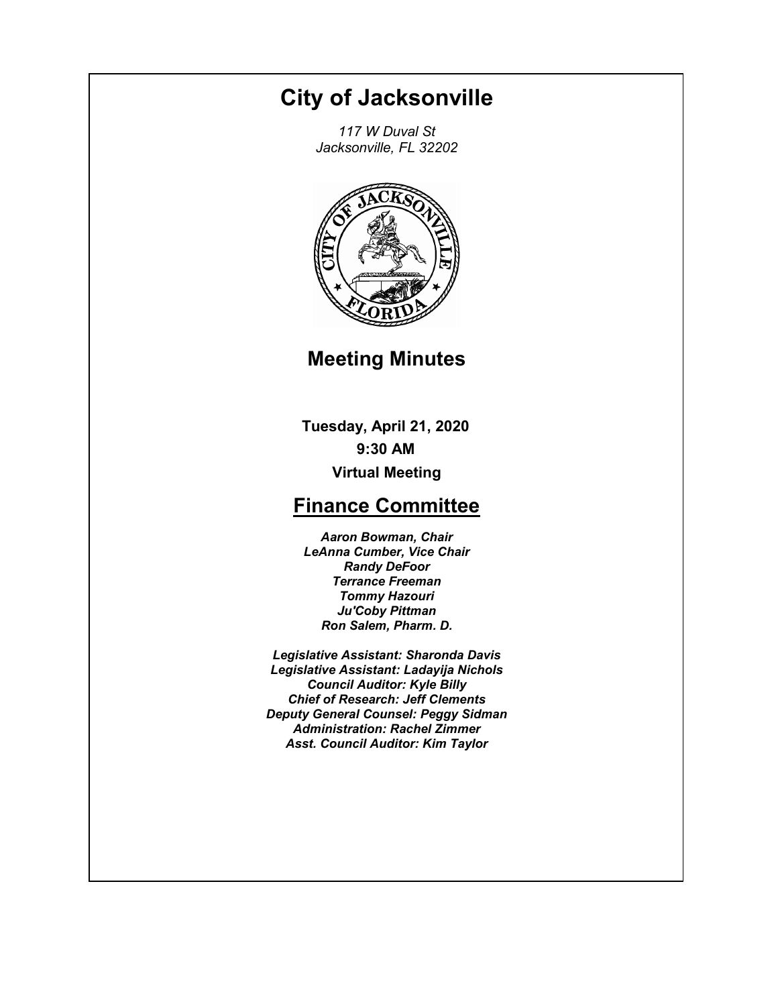# **City of Jacksonville**

*117 W Duval St Jacksonville, FL 32202*



# **Meeting Minutes**

**Tuesday, April 21, 2020 9:30 AM Virtual Meeting**

# **Finance Committee**

*Aaron Bowman, Chair LeAnna Cumber, Vice Chair Randy DeFoor Terrance Freeman Tommy Hazouri Ju'Coby Pittman Ron Salem, Pharm. D.*

*Legislative Assistant: Sharonda Davis Legislative Assistant: Ladayija Nichols Council Auditor: Kyle Billy Chief of Research: Jeff Clements Deputy General Counsel: Peggy Sidman Administration: Rachel Zimmer Asst. Council Auditor: Kim Taylor*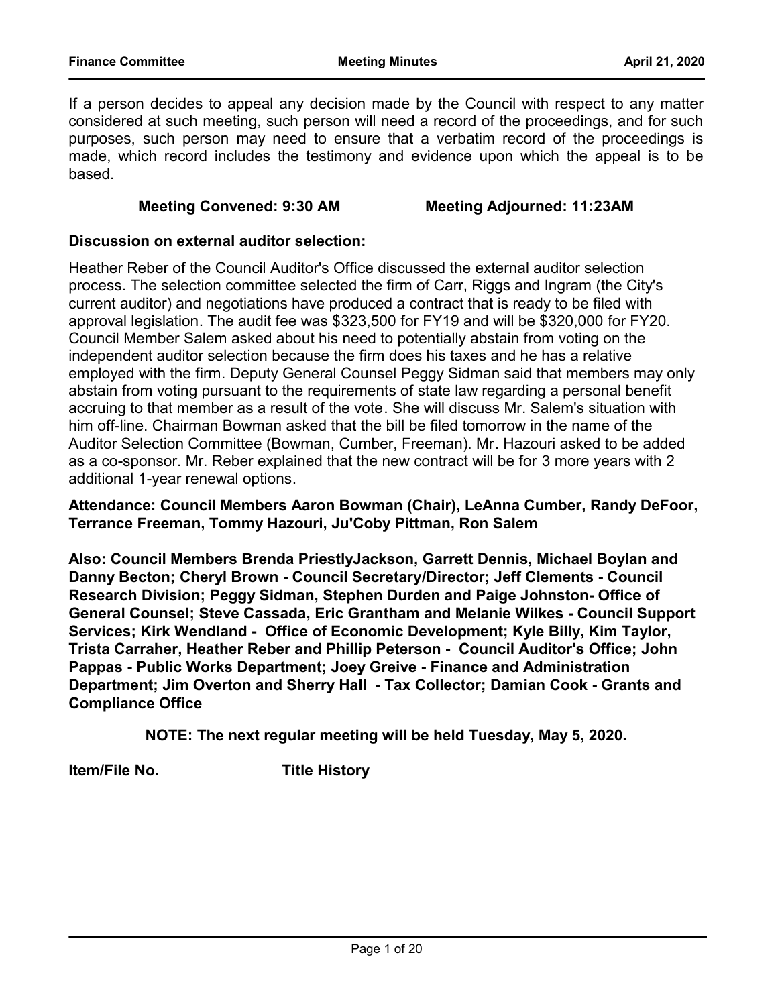If a person decides to appeal any decision made by the Council with respect to any matter considered at such meeting, such person will need a record of the proceedings, and for such purposes, such person may need to ensure that a verbatim record of the proceedings is made, which record includes the testimony and evidence upon which the appeal is to be based.

#### **Meeting Convened: 9:30 AM Meeting Adjourned: 11:23AM**

#### **Discussion on external auditor selection:**

Heather Reber of the Council Auditor's Office discussed the external auditor selection process. The selection committee selected the firm of Carr, Riggs and Ingram (the City's current auditor) and negotiations have produced a contract that is ready to be filed with approval legislation. The audit fee was \$323,500 for FY19 and will be \$320,000 for FY20. Council Member Salem asked about his need to potentially abstain from voting on the independent auditor selection because the firm does his taxes and he has a relative employed with the firm. Deputy General Counsel Peggy Sidman said that members may only abstain from voting pursuant to the requirements of state law regarding a personal benefit accruing to that member as a result of the vote. She will discuss Mr. Salem's situation with him off-line. Chairman Bowman asked that the bill be filed tomorrow in the name of the Auditor Selection Committee (Bowman, Cumber, Freeman). Mr. Hazouri asked to be added as a co-sponsor. Mr. Reber explained that the new contract will be for 3 more years with 2 additional 1-year renewal options.

#### **Attendance: Council Members Aaron Bowman (Chair), LeAnna Cumber, Randy DeFoor, Terrance Freeman, Tommy Hazouri, Ju'Coby Pittman, Ron Salem**

**Also: Council Members Brenda PriestlyJackson, Garrett Dennis, Michael Boylan and Danny Becton; Cheryl Brown - Council Secretary/Director; Jeff Clements - Council Research Division; Peggy Sidman, Stephen Durden and Paige Johnston- Office of General Counsel; Steve Cassada, Eric Grantham and Melanie Wilkes - Council Support Services; Kirk Wendland - Office of Economic Development; Kyle Billy, Kim Taylor, Trista Carraher, Heather Reber and Phillip Peterson - Council Auditor's Office; John Pappas - Public Works Department; Joey Greive - Finance and Administration Department; Jim Overton and Sherry Hall - Tax Collector; Damian Cook - Grants and Compliance Office**

**NOTE: The next regular meeting will be held Tuesday, May 5, 2020.**

**Item/File No. Title History**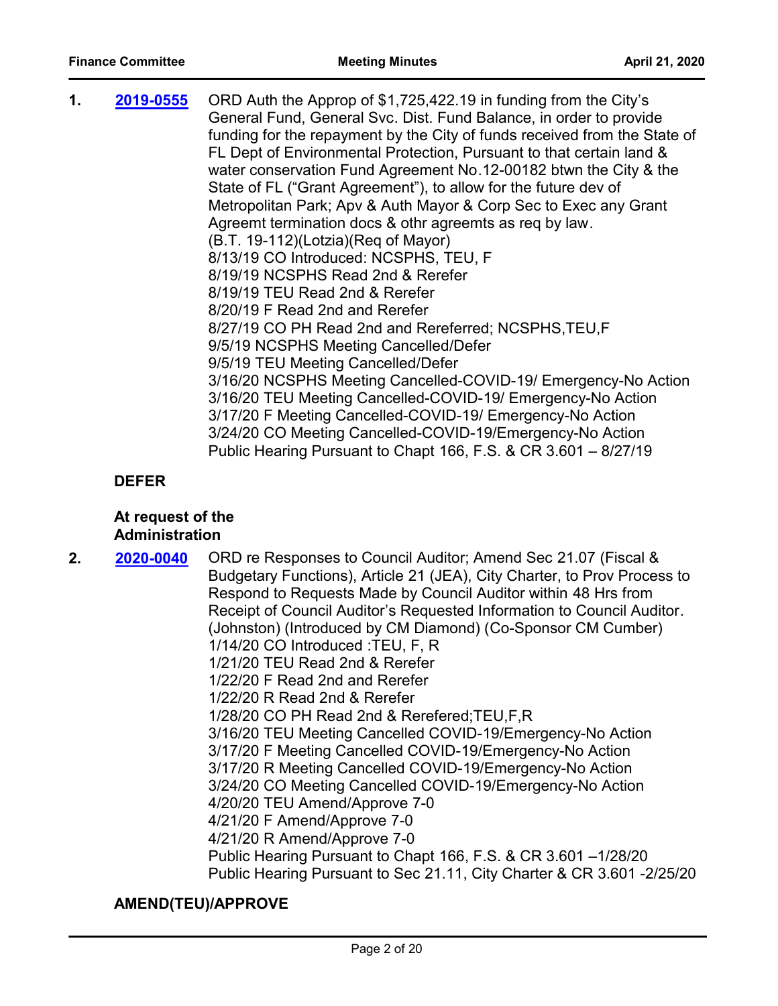| 1. | 2019-0555 | ORD Auth the Approp of \$1,725,422.19 in funding from the City's          |
|----|-----------|---------------------------------------------------------------------------|
|    |           | General Fund, General Svc. Dist. Fund Balance, in order to provide        |
|    |           | funding for the repayment by the City of funds received from the State of |
|    |           | FL Dept of Environmental Protection, Pursuant to that certain land &      |
|    |           | water conservation Fund Agreement No.12-00182 btwn the City & the         |
|    |           | State of FL ("Grant Agreement"), to allow for the future dev of           |
|    |           | Metropolitan Park; Apv & Auth Mayor & Corp Sec to Exec any Grant          |
|    |           | Agreemt termination docs & othr agreemts as req by law.                   |
|    |           | (B.T. 19-112)(Lotzia)(Reg of Mayor)                                       |
|    |           | 8/13/19 CO Introduced: NCSPHS, TEU, F                                     |
|    |           | 8/19/19 NCSPHS Read 2nd & Rerefer                                         |
|    |           | 8/19/19 TEU Read 2nd & Rerefer                                            |
|    |           | 8/20/19 F Read 2nd and Rerefer                                            |
|    |           | 8/27/19 CO PH Read 2nd and Rereferred; NCSPHS, TEU, F                     |
|    |           | 9/5/19 NCSPHS Meeting Cancelled/Defer                                     |
|    |           | 9/5/19 TEU Meeting Cancelled/Defer                                        |
|    |           | 3/16/20 NCSPHS Meeting Cancelled-COVID-19/ Emergency-No Action            |
|    |           | 3/16/20 TEU Meeting Cancelled-COVID-19/ Emergency-No Action               |
|    |           | 3/17/20 F Meeting Cancelled-COVID-19/ Emergency-No Action                 |
|    |           | 3/24/20 CO Meeting Cancelled-COVID-19/Emergency-No Action                 |
|    |           | Public Hearing Pursuant to Chapt 166, F.S. & CR 3.601 - 8/27/19           |
|    |           |                                                                           |

# **DEFER**

#### **At request of the Administration**

**2. 2020-0040** ORD re Responses to Council Auditor; Amend Sec 21.07 (Fiscal & Budgetary Functions), Article 21 (JEA), City Charter, to Prov Process to Respond to Requests Made by Council Auditor within 48 Hrs from Receipt of Council Auditor's Requested Information to Council Auditor. (Johnston) (Introduced by CM Diamond) (Co-Sponsor CM Cumber) 1/14/20 CO Introduced :TEU, F, R 1/21/20 TEU Read 2nd & Rerefer 1/22/20 F Read 2nd and Rerefer 1/22/20 R Read 2nd & Rerefer 1/28/20 CO PH Read 2nd & Rerefered;TEU,F,R 3/16/20 TEU Meeting Cancelled COVID-19/Emergency-No Action 3/17/20 F Meeting Cancelled COVID-19/Emergency-No Action 3/17/20 R Meeting Cancelled COVID-19/Emergency-No Action 3/24/20 CO Meeting Cancelled COVID-19/Emergency-No Action 4/20/20 TEU Amend/Approve 7-0 4/21/20 F Amend/Approve 7-0 4/21/20 R Amend/Approve 7-0 Public Hearing Pursuant to Chapt 166, F.S. & CR 3.601 –1/28/20 Public Hearing Pursuant to Sec 21.11, City Charter & CR 3.601 -2/25/20 **[2020-0040](http://jaxcityc.legistar.com/gateway.aspx?m=l&id=/matter.aspx?key=2094)**

#### **AMEND(TEU)/APPROVE**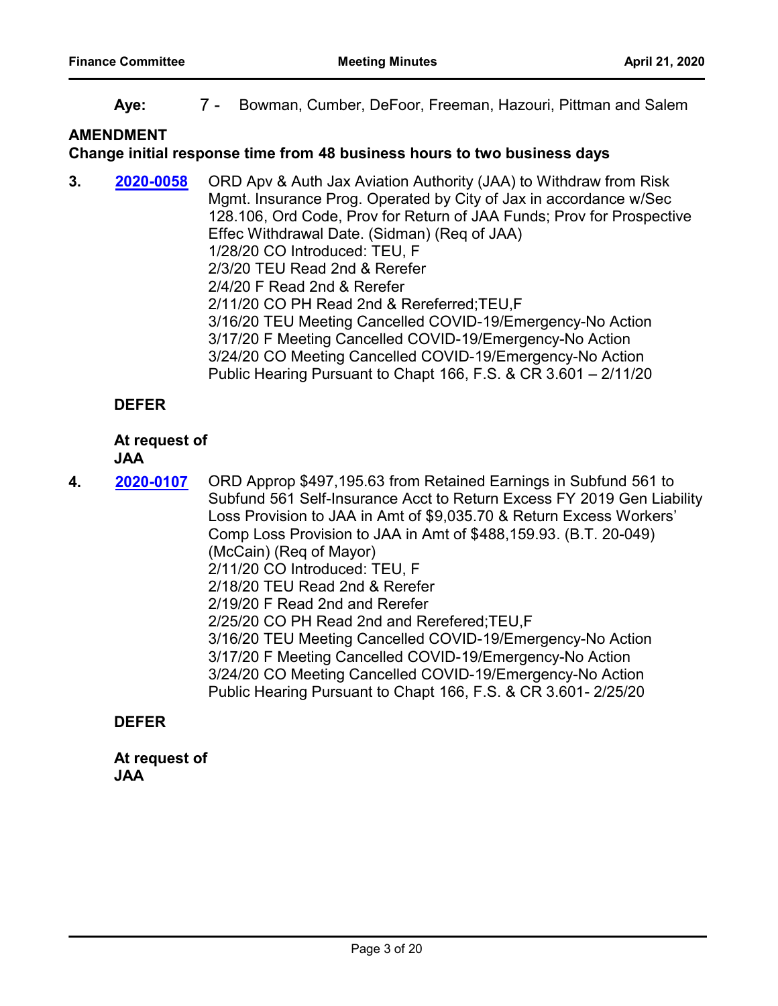**Aye:** 7 - Bowman, Cumber, DeFoor, Freeman, Hazouri, Pittman and Salem

# **AMENDMENT**

#### **Change initial response time from 48 business hours to two business days**

**3. 2020-0058** ORD Apv & Auth Jax Aviation Authority (JAA) to Withdraw from Risk Mgmt. Insurance Prog. Operated by City of Jax in accordance w/Sec 128.106, Ord Code, Prov for Return of JAA Funds; Prov for Prospective Effec Withdrawal Date. (Sidman) (Req of JAA) 1/28/20 CO Introduced: TEU, F 2/3/20 TEU Read 2nd & Rerefer 2/4/20 F Read 2nd & Rerefer 2/11/20 CO PH Read 2nd & Rereferred;TEU,F 3/16/20 TEU Meeting Cancelled COVID-19/Emergency-No Action 3/17/20 F Meeting Cancelled COVID-19/Emergency-No Action 3/24/20 CO Meeting Cancelled COVID-19/Emergency-No Action Public Hearing Pursuant to Chapt 166, F.S. & CR 3.601 – 2/11/20 **[2020-0058](http://jaxcityc.legistar.com/gateway.aspx?m=l&id=/matter.aspx?key=2116)**

# **DEFER**

# **At request of**

#### **JAA**

4. **2020-0107** ORD Approp \$497,195.63 from Retained Earnings in Subfund 561 to Subfund 561 Self-Insurance Acct to Return Excess FY 2019 Gen Liability Loss Provision to JAA in Amt of \$9,035.70 & Return Excess Workers' Comp Loss Provision to JAA in Amt of \$488,159.93. (B.T. 20-049) (McCain) (Req of Mayor) 2/11/20 CO Introduced: TEU, F 2/18/20 TEU Read 2nd & Rerefer 2/19/20 F Read 2nd and Rerefer 2/25/20 CO PH Read 2nd and Rerefered;TEU,F 3/16/20 TEU Meeting Cancelled COVID-19/Emergency-No Action 3/17/20 F Meeting Cancelled COVID-19/Emergency-No Action 3/24/20 CO Meeting Cancelled COVID-19/Emergency-No Action Public Hearing Pursuant to Chapt 166, F.S. & CR 3.601- 2/25/20 **[2020-0107](http://jaxcityc.legistar.com/gateway.aspx?m=l&id=/matter.aspx?key=2168)**

# **DEFER**

**At request of JAA**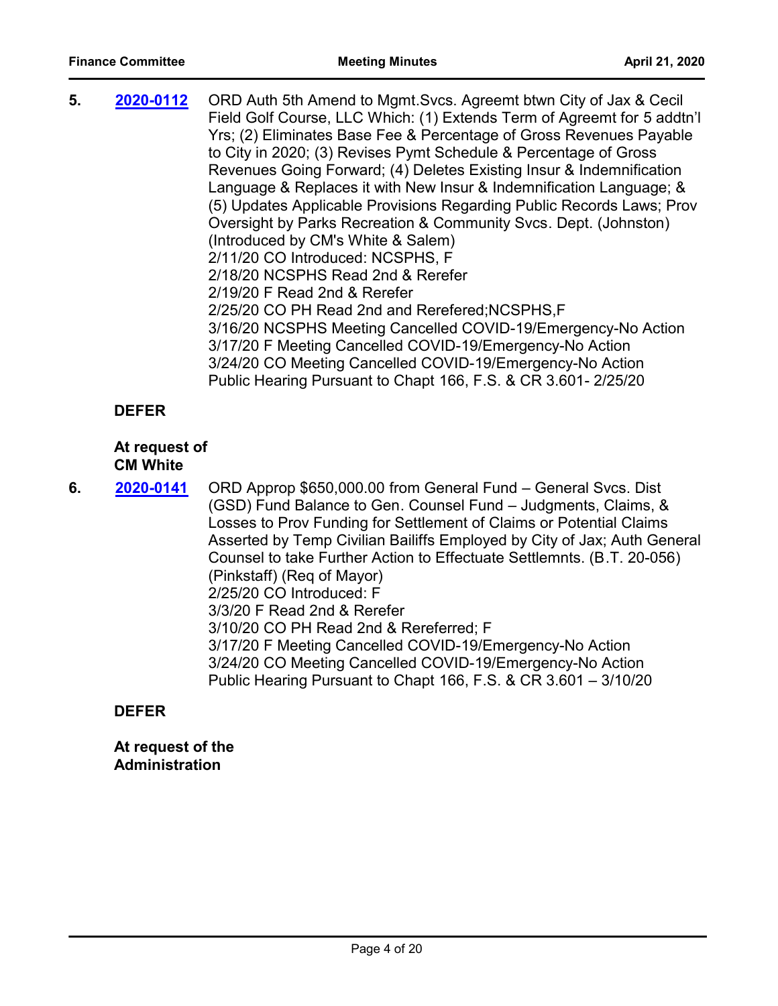| 5. | 2020-0112 | ORD Auth 5th Amend to Mgmt. Svcs. Agreemt btwn City of Jax & Cecil<br>Field Golf Course, LLC Which: (1) Extends Term of Agreemt for 5 addtn'l<br>Yrs; (2) Eliminates Base Fee & Percentage of Gross Revenues Payable<br>to City in 2020; (3) Revises Pymt Schedule & Percentage of Gross<br>Revenues Going Forward; (4) Deletes Existing Insur & Indemnification<br>Language & Replaces it with New Insur & Indemnification Language; &<br>(5) Updates Applicable Provisions Regarding Public Records Laws; Prov<br>Oversight by Parks Recreation & Community Svcs. Dept. (Johnston)<br>(Introduced by CM's White & Salem)<br>2/11/20 CO Introduced: NCSPHS, F<br>2/18/20 NCSPHS Read 2nd & Rerefer<br>2/19/20 F Read 2nd & Rerefer<br>2/25/20 CO PH Read 2nd and Rerefered; NCSPHS, F<br>3/16/20 NCSPHS Meeting Cancelled COVID-19/Emergency-No Action<br>3/17/20 F Meeting Cancelled COVID-19/Emergency-No Action<br>3/24/20 CO Meeting Cancelled COVID-19/Emergency-No Action |
|----|-----------|----------------------------------------------------------------------------------------------------------------------------------------------------------------------------------------------------------------------------------------------------------------------------------------------------------------------------------------------------------------------------------------------------------------------------------------------------------------------------------------------------------------------------------------------------------------------------------------------------------------------------------------------------------------------------------------------------------------------------------------------------------------------------------------------------------------------------------------------------------------------------------------------------------------------------------------------------------------------------------|
|    |           | Public Hearing Pursuant to Chapt 166, F.S. & CR 3.601-2/25/20                                                                                                                                                                                                                                                                                                                                                                                                                                                                                                                                                                                                                                                                                                                                                                                                                                                                                                                    |

# **DEFER**

#### **At request of CM White**

**6. 2020-0141** ORD Approp \$650,000.00 from General Fund – General Svcs. Dist (GSD) Fund Balance to Gen. Counsel Fund – Judgments, Claims, & Losses to Prov Funding for Settlement of Claims or Potential Claims Asserted by Temp Civilian Bailiffs Employed by City of Jax; Auth General Counsel to take Further Action to Effectuate Settlemnts. (B.T. 20-056) (Pinkstaff) (Req of Mayor) 2/25/20 CO Introduced: F 3/3/20 F Read 2nd & Rerefer 3/10/20 CO PH Read 2nd & Rereferred; F 3/17/20 F Meeting Cancelled COVID-19/Emergency-No Action 3/24/20 CO Meeting Cancelled COVID-19/Emergency-No Action Public Hearing Pursuant to Chapt 166, F.S. & CR 3.601 – 3/10/20 **[2020-0141](http://jaxcityc.legistar.com/gateway.aspx?m=l&id=/matter.aspx?key=2204)**

#### **DEFER**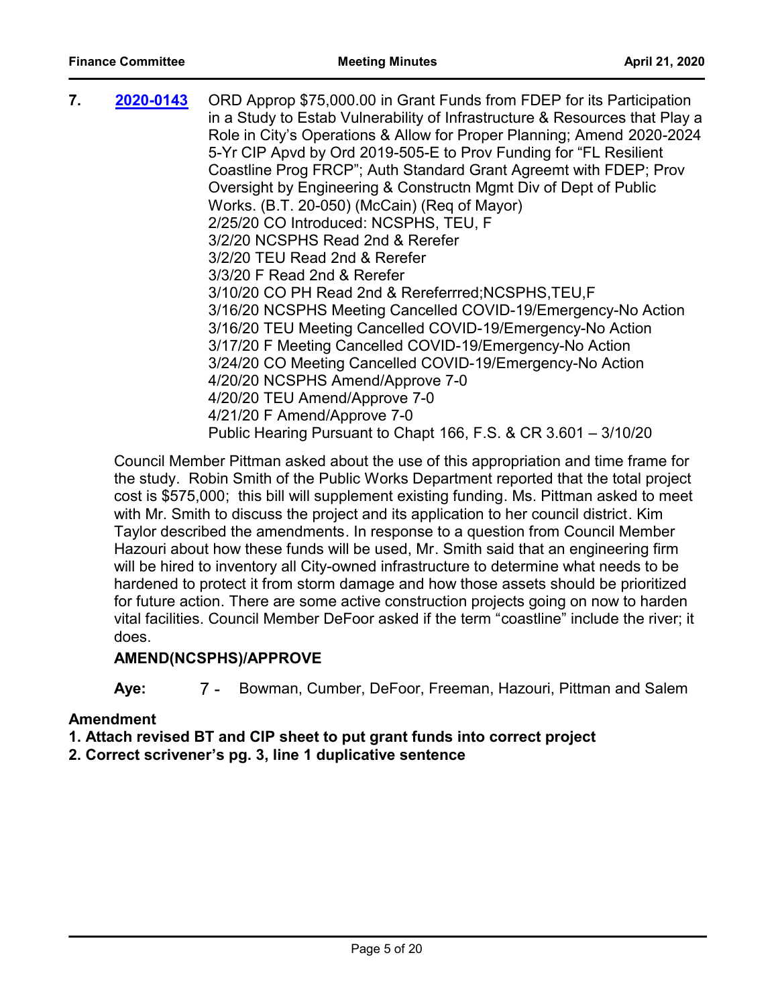| 7. | 2020-0143 | ORD Approp \$75,000.00 in Grant Funds from FDEP for its Participation       |
|----|-----------|-----------------------------------------------------------------------------|
|    |           | in a Study to Estab Vulnerability of Infrastructure & Resources that Play a |
|    |           | Role in City's Operations & Allow for Proper Planning; Amend 2020-2024      |
|    |           | 5-Yr CIP Apvd by Ord 2019-505-E to Prov Funding for "FL Resilient           |
|    |           | Coastline Prog FRCP"; Auth Standard Grant Agreemt with FDEP; Prov           |
|    |           | Oversight by Engineering & Constructn Mgmt Div of Dept of Public            |
|    |           | Works. (B.T. 20-050) (McCain) (Req of Mayor)                                |
|    |           | 2/25/20 CO Introduced: NCSPHS, TEU, F                                       |
|    |           | 3/2/20 NCSPHS Read 2nd & Rerefer                                            |
|    |           | 3/2/20 TEU Read 2nd & Rerefer                                               |
|    |           | 3/3/20 F Read 2nd & Rerefer                                                 |
|    |           | 3/10/20 CO PH Read 2nd & Rereferrred; NCSPHS, TEU, F                        |
|    |           | 3/16/20 NCSPHS Meeting Cancelled COVID-19/Emergency-No Action               |
|    |           | 3/16/20 TEU Meeting Cancelled COVID-19/Emergency-No Action                  |
|    |           | 3/17/20 F Meeting Cancelled COVID-19/Emergency-No Action                    |
|    |           | 3/24/20 CO Meeting Cancelled COVID-19/Emergency-No Action                   |
|    |           | 4/20/20 NCSPHS Amend/Approve 7-0                                            |
|    |           | 4/20/20 TEU Amend/Approve 7-0                                               |
|    |           | 4/21/20 F Amend/Approve 7-0                                                 |
|    |           | Public Hearing Pursuant to Chapt 166, F.S. & CR 3.601 - 3/10/20             |

Council Member Pittman asked about the use of this appropriation and time frame for the study. Robin Smith of the Public Works Department reported that the total project cost is \$575,000; this bill will supplement existing funding. Ms. Pittman asked to meet with Mr. Smith to discuss the project and its application to her council district. Kim Taylor described the amendments. In response to a question from Council Member Hazouri about how these funds will be used, Mr. Smith said that an engineering firm will be hired to inventory all City-owned infrastructure to determine what needs to be hardened to protect it from storm damage and how those assets should be prioritized for future action. There are some active construction projects going on now to harden vital facilities. Council Member DeFoor asked if the term "coastline" include the river; it does.

# **AMEND(NCSPHS)/APPROVE**

**Aye:** 7 - Bowman, Cumber, DeFoor, Freeman, Hazouri, Pittman and Salem

# **Amendment**

**1. Attach revised BT and CIP sheet to put grant funds into correct project**

**2. Correct scrivener's pg. 3, line 1 duplicative sentence**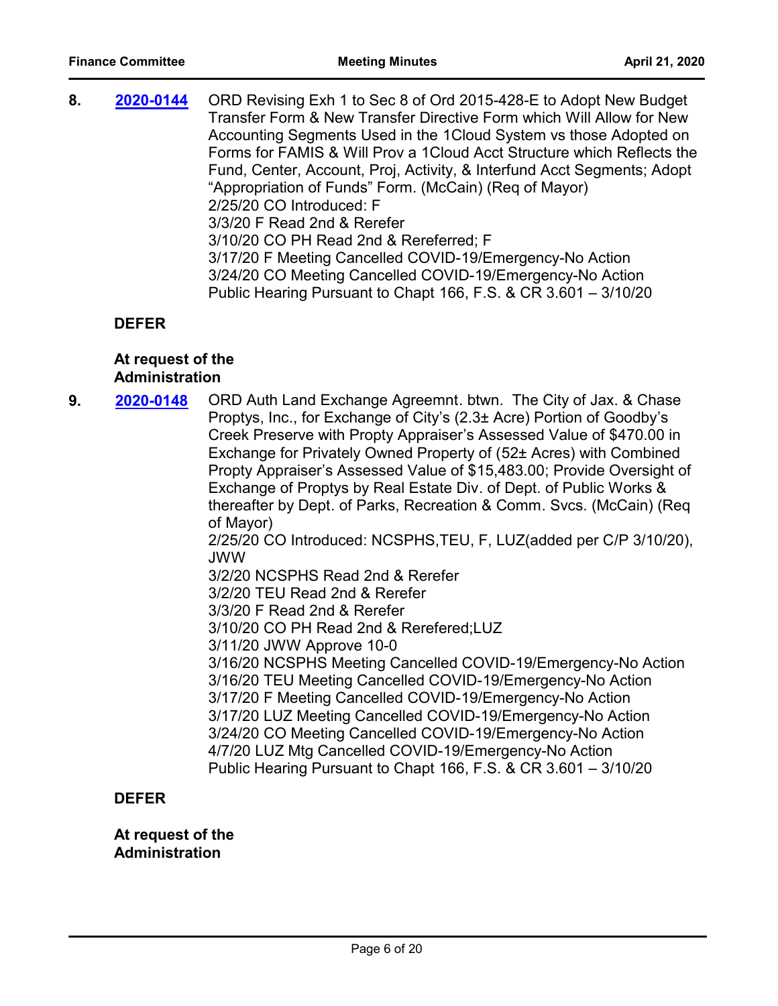**8. 2020-0144** ORD Revising Exh 1 to Sec 8 of Ord 2015-428-E to Adopt New Budget Transfer Form & New Transfer Directive Form which Will Allow for New Accounting Segments Used in the 1Cloud System vs those Adopted on Forms for FAMIS & Will Prov a 1Cloud Acct Structure which Reflects the Fund, Center, Account, Proj, Activity, & Interfund Acct Segments; Adopt "Appropriation of Funds" Form. (McCain) (Req of Mayor) 2/25/20 CO Introduced: F 3/3/20 F Read 2nd & Rerefer 3/10/20 CO PH Read 2nd & Rereferred; F 3/17/20 F Meeting Cancelled COVID-19/Emergency-No Action 3/24/20 CO Meeting Cancelled COVID-19/Emergency-No Action Public Hearing Pursuant to Chapt 166, F.S. & CR 3.601 – 3/10/20 **[2020-0144](http://jaxcityc.legistar.com/gateway.aspx?m=l&id=/matter.aspx?key=2207)**

#### **DEFER**

#### **At request of the Administration**

**9. 2020-0148** ORD Auth Land Exchange Agreemnt. btwn. The City of Jax. & Chase Proptys, Inc., for Exchange of City's (2.3± Acre) Portion of Goodby's Creek Preserve with Propty Appraiser's Assessed Value of \$470.00 in Exchange for Privately Owned Property of (52± Acres) with Combined Propty Appraiser's Assessed Value of \$15,483.00; Provide Oversight of Exchange of Proptys by Real Estate Div. of Dept. of Public Works & thereafter by Dept. of Parks, Recreation & Comm. Svcs. (McCain) (Req of Mayor) 2/25/20 CO Introduced: NCSPHS,TEU, F, LUZ(added per C/P 3/10/20), JWW 3/2/20 NCSPHS Read 2nd & Rerefer 3/2/20 TEU Read 2nd & Rerefer 3/3/20 F Read 2nd & Rerefer 3/10/20 CO PH Read 2nd & Rerefered;LUZ 3/11/20 JWW Approve 10-0 3/16/20 NCSPHS Meeting Cancelled COVID-19/Emergency-No Action 3/16/20 TEU Meeting Cancelled COVID-19/Emergency-No Action 3/17/20 F Meeting Cancelled COVID-19/Emergency-No Action 3/17/20 LUZ Meeting Cancelled COVID-19/Emergency-No Action 3/24/20 CO Meeting Cancelled COVID-19/Emergency-No Action 4/7/20 LUZ Mtg Cancelled COVID-19/Emergency-No Action Public Hearing Pursuant to Chapt 166, F.S. & CR 3.601 – 3/10/20 **[2020-0148](http://jaxcityc.legistar.com/gateway.aspx?m=l&id=/matter.aspx?key=2211)**

### **DEFER**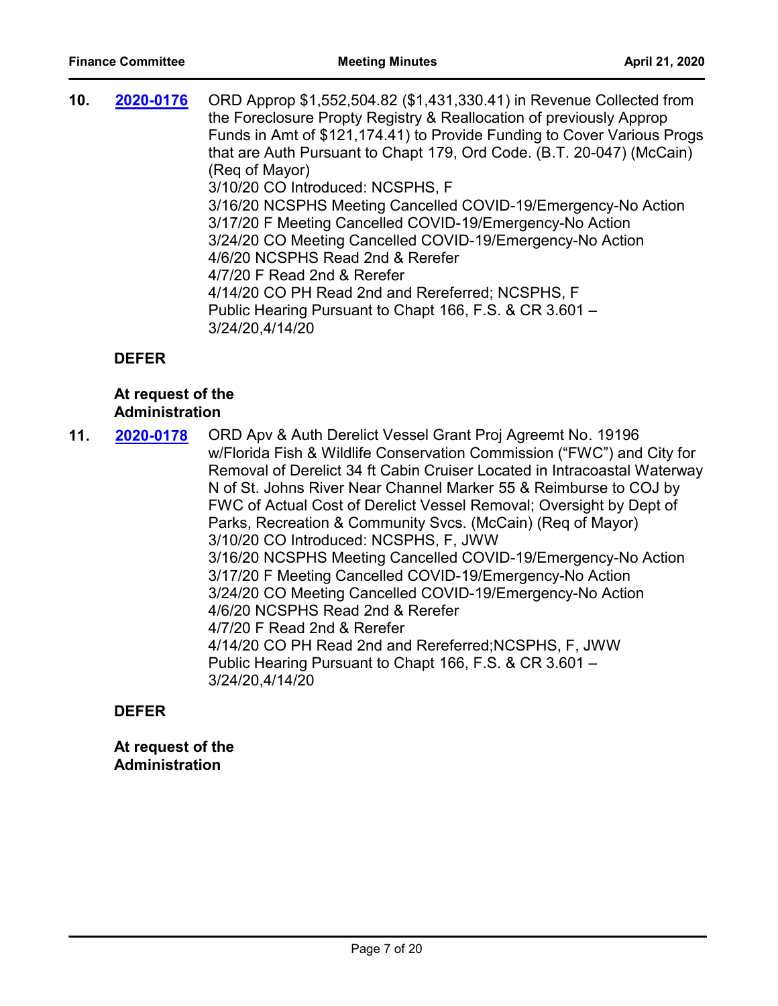| Funds in Amt of \$121,174.41) to Provide Funding to Cover Various Progs<br>that are Auth Pursuant to Chapt 179, Ord Code. (B.T. 20-047) (McCain)<br>(Reg of Mayor)<br>3/10/20 CO Introduced: NCSPHS, F<br>3/16/20 NCSPHS Meeting Cancelled COVID-19/Emergency-No Action<br>3/17/20 F Meeting Cancelled COVID-19/Emergency-No Action<br>3/24/20 CO Meeting Cancelled COVID-19/Emergency-No Action<br>4/6/20 NCSPHS Read 2nd & Rerefer<br>4/7/20 F Read 2nd & Rerefer<br>4/14/20 CO PH Read 2nd and Rereferred; NCSPHS, F<br>Public Hearing Pursuant to Chapt 166, F.S. & CR 3.601 -<br>3/24/20,4/14/20 |  |
|-------------------------------------------------------------------------------------------------------------------------------------------------------------------------------------------------------------------------------------------------------------------------------------------------------------------------------------------------------------------------------------------------------------------------------------------------------------------------------------------------------------------------------------------------------------------------------------------------------|--|
|-------------------------------------------------------------------------------------------------------------------------------------------------------------------------------------------------------------------------------------------------------------------------------------------------------------------------------------------------------------------------------------------------------------------------------------------------------------------------------------------------------------------------------------------------------------------------------------------------------|--|

# **DEFER**

#### **At request of the Administration**

**11. 2020-0178** ORD Apv & Auth Derelict Vessel Grant Proj Agreemt No. 19196 w/Florida Fish & Wildlife Conservation Commission ("FWC") and City for Removal of Derelict 34 ft Cabin Cruiser Located in Intracoastal Waterway N of St. Johns River Near Channel Marker 55 & Reimburse to COJ by FWC of Actual Cost of Derelict Vessel Removal; Oversight by Dept of Parks, Recreation & Community Svcs. (McCain) (Req of Mayor) 3/10/20 CO Introduced: NCSPHS, F, JWW 3/16/20 NCSPHS Meeting Cancelled COVID-19/Emergency-No Action 3/17/20 F Meeting Cancelled COVID-19/Emergency-No Action 3/24/20 CO Meeting Cancelled COVID-19/Emergency-No Action 4/6/20 NCSPHS Read 2nd & Rerefer 4/7/20 F Read 2nd & Rerefer 4/14/20 CO PH Read 2nd and Rereferred;NCSPHS, F, JWW Public Hearing Pursuant to Chapt 166, F.S. & CR 3.601 – 3/24/20,4/14/20 **[2020-0178](http://jaxcityc.legistar.com/gateway.aspx?m=l&id=/matter.aspx?key=2245)**

#### **DEFER**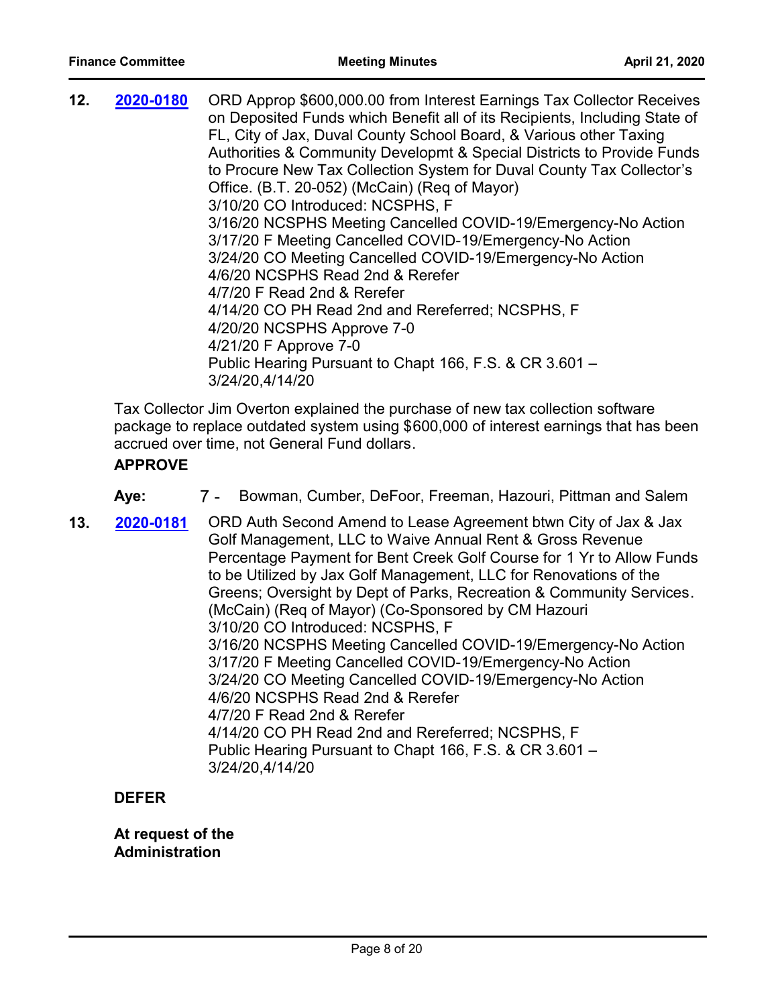| 12. | 2020-0180 | ORD Approp \$600,000.00 from Interest Earnings Tax Collector Receives<br>on Deposited Funds which Benefit all of its Recipients, Including State of<br>FL, City of Jax, Duval County School Board, & Various other Taxing<br>Authorities & Community Developmt & Special Districts to Provide Funds<br>to Procure New Tax Collection System for Duval County Tax Collector's<br>Office. (B.T. 20-052) (McCain) (Req of Mayor)<br>3/10/20 CO Introduced: NCSPHS, F<br>3/16/20 NCSPHS Meeting Cancelled COVID-19/Emergency-No Action<br>3/17/20 F Meeting Cancelled COVID-19/Emergency-No Action<br>3/24/20 CO Meeting Cancelled COVID-19/Emergency-No Action<br>4/6/20 NCSPHS Read 2nd & Rerefer<br>4/7/20 F Read 2nd & Rerefer<br>4/14/20 CO PH Read 2nd and Rereferred; NCSPHS, F<br>4/20/20 NCSPHS Approve 7-0<br>4/21/20 F Approve 7-0<br>Public Hearing Pursuant to Chapt 166, F.S. & CR 3.601 -<br>3/24/20,4/14/20 |
|-----|-----------|-------------------------------------------------------------------------------------------------------------------------------------------------------------------------------------------------------------------------------------------------------------------------------------------------------------------------------------------------------------------------------------------------------------------------------------------------------------------------------------------------------------------------------------------------------------------------------------------------------------------------------------------------------------------------------------------------------------------------------------------------------------------------------------------------------------------------------------------------------------------------------------------------------------------------|
|-----|-----------|-------------------------------------------------------------------------------------------------------------------------------------------------------------------------------------------------------------------------------------------------------------------------------------------------------------------------------------------------------------------------------------------------------------------------------------------------------------------------------------------------------------------------------------------------------------------------------------------------------------------------------------------------------------------------------------------------------------------------------------------------------------------------------------------------------------------------------------------------------------------------------------------------------------------------|

Tax Collector Jim Overton explained the purchase of new tax collection software package to replace outdated system using \$600,000 of interest earnings that has been accrued over time, not General Fund dollars.

#### **APPROVE**

- **Aye:** 7 Bowman, Cumber, DeFoor, Freeman, Hazouri, Pittman and Salem
- **13. 2020-0181** ORD Auth Second Amend to Lease Agreement btwn City of Jax & Jax Golf Management, LLC to Waive Annual Rent & Gross Revenue Percentage Payment for Bent Creek Golf Course for 1 Yr to Allow Funds to be Utilized by Jax Golf Management, LLC for Renovations of the Greens; Oversight by Dept of Parks, Recreation & Community Services. (McCain) (Req of Mayor) (Co-Sponsored by CM Hazouri 3/10/20 CO Introduced: NCSPHS, F 3/16/20 NCSPHS Meeting Cancelled COVID-19/Emergency-No Action 3/17/20 F Meeting Cancelled COVID-19/Emergency-No Action 3/24/20 CO Meeting Cancelled COVID-19/Emergency-No Action 4/6/20 NCSPHS Read 2nd & Rerefer 4/7/20 F Read 2nd & Rerefer 4/14/20 CO PH Read 2nd and Rereferred; NCSPHS, F Public Hearing Pursuant to Chapt 166, F.S. & CR 3.601 – 3/24/20,4/14/20 **[2020-0181](http://jaxcityc.legistar.com/gateway.aspx?m=l&id=/matter.aspx?key=2248)**

#### **DEFER**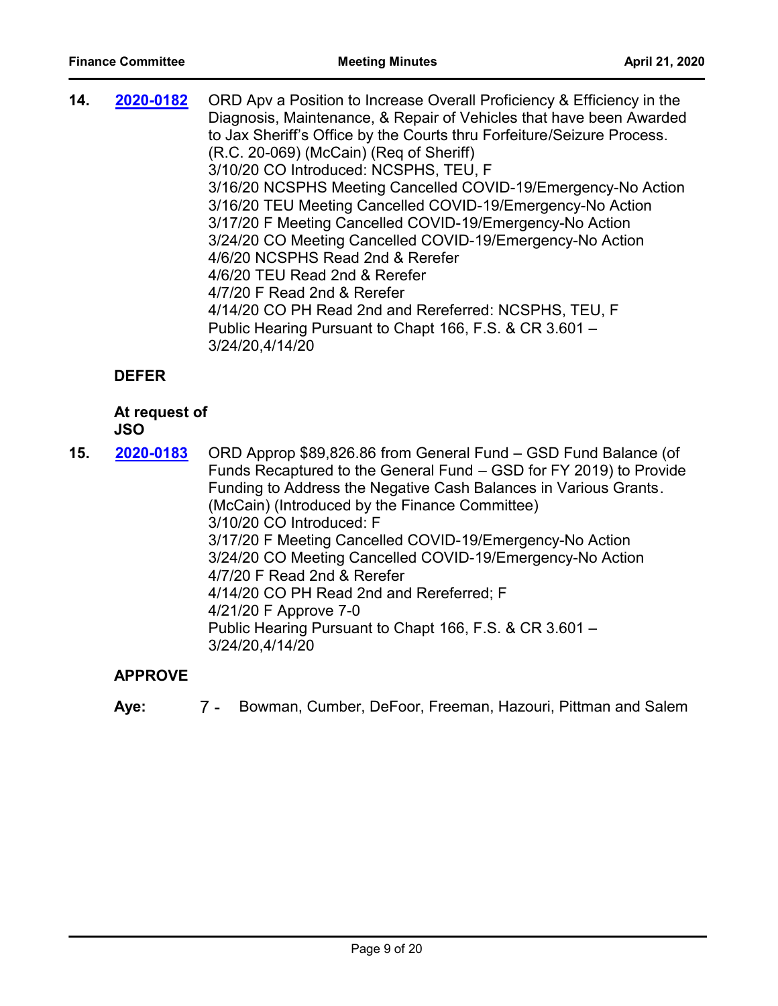| 14. | 2020-0182    | ORD Apv a Position to Increase Overall Proficiency & Efficiency in the<br>Diagnosis, Maintenance, & Repair of Vehicles that have been Awarded<br>to Jax Sheriff's Office by the Courts thru Forfeiture/Seizure Process.<br>(R.C. 20-069) (McCain) (Reg of Sheriff)<br>3/10/20 CO Introduced: NCSPHS, TEU, F<br>3/16/20 NCSPHS Meeting Cancelled COVID-19/Emergency-No Action<br>3/16/20 TEU Meeting Cancelled COVID-19/Emergency-No Action<br>3/17/20 F Meeting Cancelled COVID-19/Emergency-No Action<br>3/24/20 CO Meeting Cancelled COVID-19/Emergency-No Action<br>4/6/20 NCSPHS Read 2nd & Rerefer<br>4/6/20 TEU Read 2nd & Rerefer<br>4/7/20 F Read 2nd & Rerefer<br>4/14/20 CO PH Read 2nd and Rereferred: NCSPHS, TEU, F<br>Public Hearing Pursuant to Chapt 166, F.S. & CR 3.601 - |
|-----|--------------|---------------------------------------------------------------------------------------------------------------------------------------------------------------------------------------------------------------------------------------------------------------------------------------------------------------------------------------------------------------------------------------------------------------------------------------------------------------------------------------------------------------------------------------------------------------------------------------------------------------------------------------------------------------------------------------------------------------------------------------------------------------------------------------------|
|     | <b>DEFER</b> | 3/24/20,4/14/20                                                                                                                                                                                                                                                                                                                                                                                                                                                                                                                                                                                                                                                                                                                                                                             |

# **At request of**

# **JSO**

**15. 2020-0183** ORD Approp \$89,826.86 from General Fund – GSD Fund Balance (of Funds Recaptured to the General Fund – GSD for FY 2019) to Provide Funding to Address the Negative Cash Balances in Various Grants. (McCain) (Introduced by the Finance Committee) 3/10/20 CO Introduced: F 3/17/20 F Meeting Cancelled COVID-19/Emergency-No Action 3/24/20 CO Meeting Cancelled COVID-19/Emergency-No Action 4/7/20 F Read 2nd & Rerefer 4/14/20 CO PH Read 2nd and Rereferred; F 4/21/20 F Approve 7-0 Public Hearing Pursuant to Chapt 166, F.S. & CR 3.601 – 3/24/20,4/14/20 **[2020-0183](http://jaxcityc.legistar.com/gateway.aspx?m=l&id=/matter.aspx?key=2250)**

# **APPROVE**

**Aye:** 7 - Bowman, Cumber, DeFoor, Freeman, Hazouri, Pittman and Salem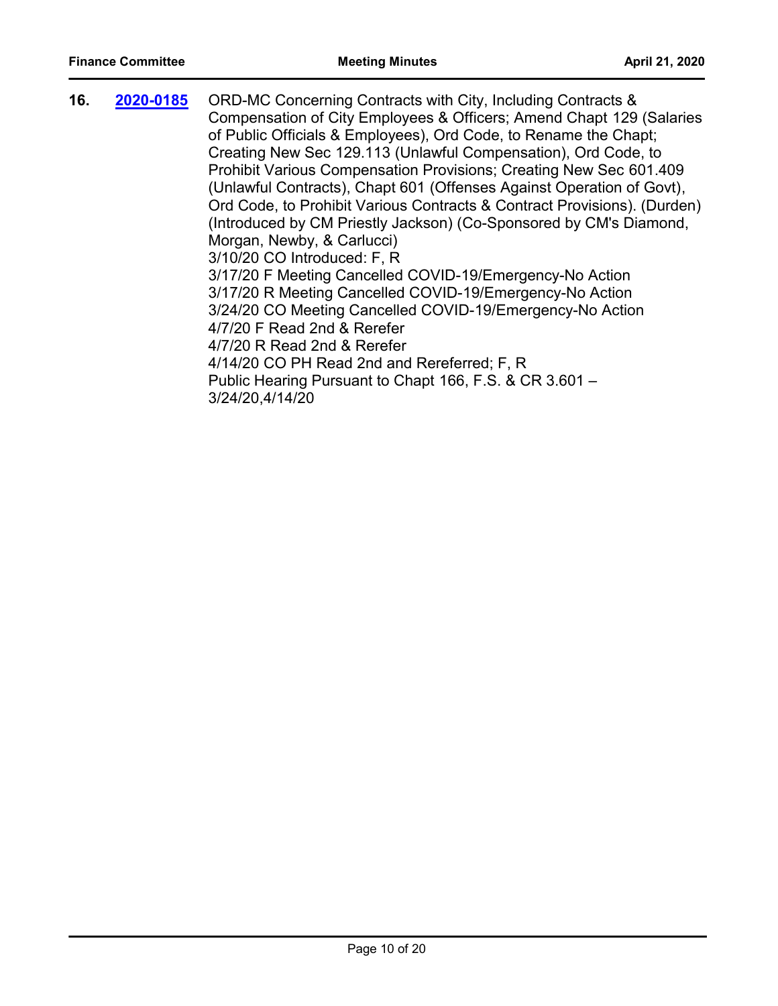**16. 2020-0185** ORD-MC Concerning Contracts with City, Including Contracts & Compensation of City Employees & Officers; Amend Chapt 129 (Salaries of Public Officials & Employees), Ord Code, to Rename the Chapt; Creating New Sec 129.113 (Unlawful Compensation), Ord Code, to Prohibit Various Compensation Provisions; Creating New Sec 601.409 (Unlawful Contracts), Chapt 601 (Offenses Against Operation of Govt), Ord Code, to Prohibit Various Contracts & Contract Provisions). (Durden) (Introduced by CM Priestly Jackson) (Co-Sponsored by CM's Diamond, Morgan, Newby, & Carlucci) 3/10/20 CO Introduced: F, R 3/17/20 F Meeting Cancelled COVID-19/Emergency-No Action 3/17/20 R Meeting Cancelled COVID-19/Emergency-No Action 3/24/20 CO Meeting Cancelled COVID-19/Emergency-No Action 4/7/20 F Read 2nd & Rerefer 4/7/20 R Read 2nd & Rerefer 4/14/20 CO PH Read 2nd and Rereferred; F, R Public Hearing Pursuant to Chapt 166, F.S. & CR 3.601 – 3/24/20,4/14/20 **[2020-0185](http://jaxcityc.legistar.com/gateway.aspx?m=l&id=/matter.aspx?key=2252)**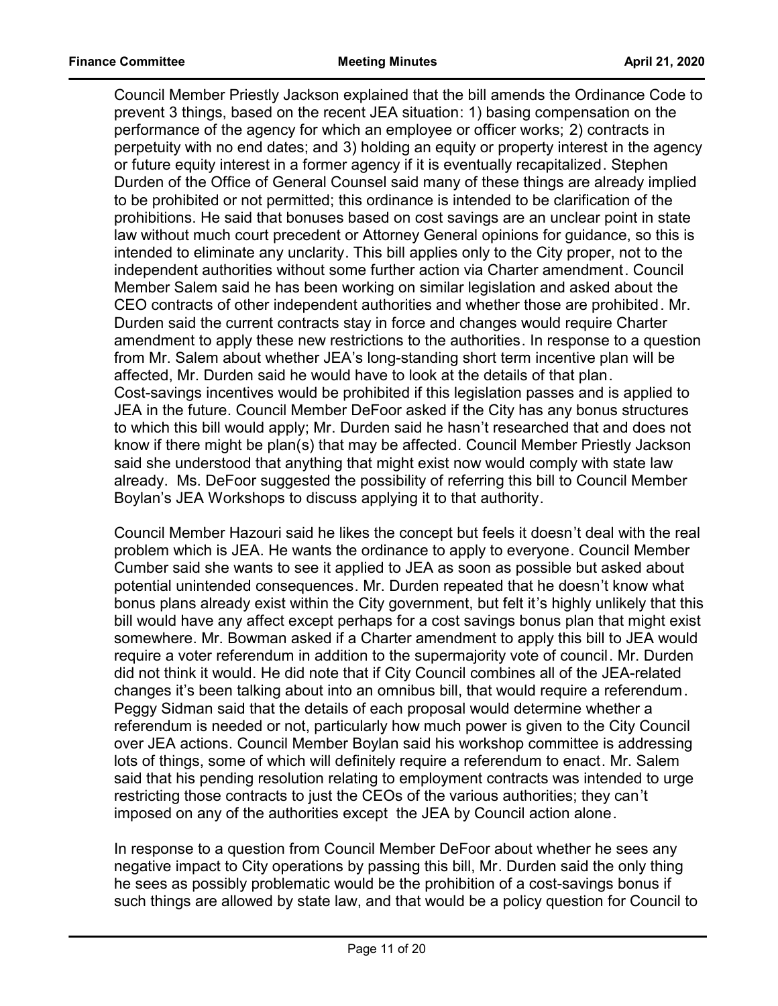Council Member Priestly Jackson explained that the bill amends the Ordinance Code to prevent 3 things, based on the recent JEA situation: 1) basing compensation on the performance of the agency for which an employee or officer works; 2) contracts in perpetuity with no end dates; and 3) holding an equity or property interest in the agency or future equity interest in a former agency if it is eventually recapitalized. Stephen Durden of the Office of General Counsel said many of these things are already implied to be prohibited or not permitted; this ordinance is intended to be clarification of the prohibitions. He said that bonuses based on cost savings are an unclear point in state law without much court precedent or Attorney General opinions for guidance, so this is intended to eliminate any unclarity. This bill applies only to the City proper, not to the independent authorities without some further action via Charter amendment. Council Member Salem said he has been working on similar legislation and asked about the CEO contracts of other independent authorities and whether those are prohibited. Mr. Durden said the current contracts stay in force and changes would require Charter amendment to apply these new restrictions to the authorities. In response to a question from Mr. Salem about whether JEA's long-standing short term incentive plan will be affected, Mr. Durden said he would have to look at the details of that plan. Cost-savings incentives would be prohibited if this legislation passes and is applied to JEA in the future. Council Member DeFoor asked if the City has any bonus structures to which this bill would apply; Mr. Durden said he hasn't researched that and does not know if there might be plan(s) that may be affected. Council Member Priestly Jackson said she understood that anything that might exist now would comply with state law already. Ms. DeFoor suggested the possibility of referring this bill to Council Member Boylan's JEA Workshops to discuss applying it to that authority.

Council Member Hazouri said he likes the concept but feels it doesn't deal with the real problem which is JEA. He wants the ordinance to apply to everyone. Council Member Cumber said she wants to see it applied to JEA as soon as possible but asked about potential unintended consequences. Mr. Durden repeated that he doesn't know what bonus plans already exist within the City government, but felt it's highly unlikely that this bill would have any affect except perhaps for a cost savings bonus plan that might exist somewhere. Mr. Bowman asked if a Charter amendment to apply this bill to JEA would require a voter referendum in addition to the supermajority vote of council. Mr. Durden did not think it would. He did note that if City Council combines all of the JEA-related changes it's been talking about into an omnibus bill, that would require a referendum. Peggy Sidman said that the details of each proposal would determine whether a referendum is needed or not, particularly how much power is given to the City Council over JEA actions. Council Member Boylan said his workshop committee is addressing lots of things, some of which will definitely require a referendum to enact. Mr. Salem said that his pending resolution relating to employment contracts was intended to urge restricting those contracts to just the CEOs of the various authorities; they can't imposed on any of the authorities except the JEA by Council action alone.

In response to a question from Council Member DeFoor about whether he sees any negative impact to City operations by passing this bill, Mr. Durden said the only thing he sees as possibly problematic would be the prohibition of a cost-savings bonus if such things are allowed by state law, and that would be a policy question for Council to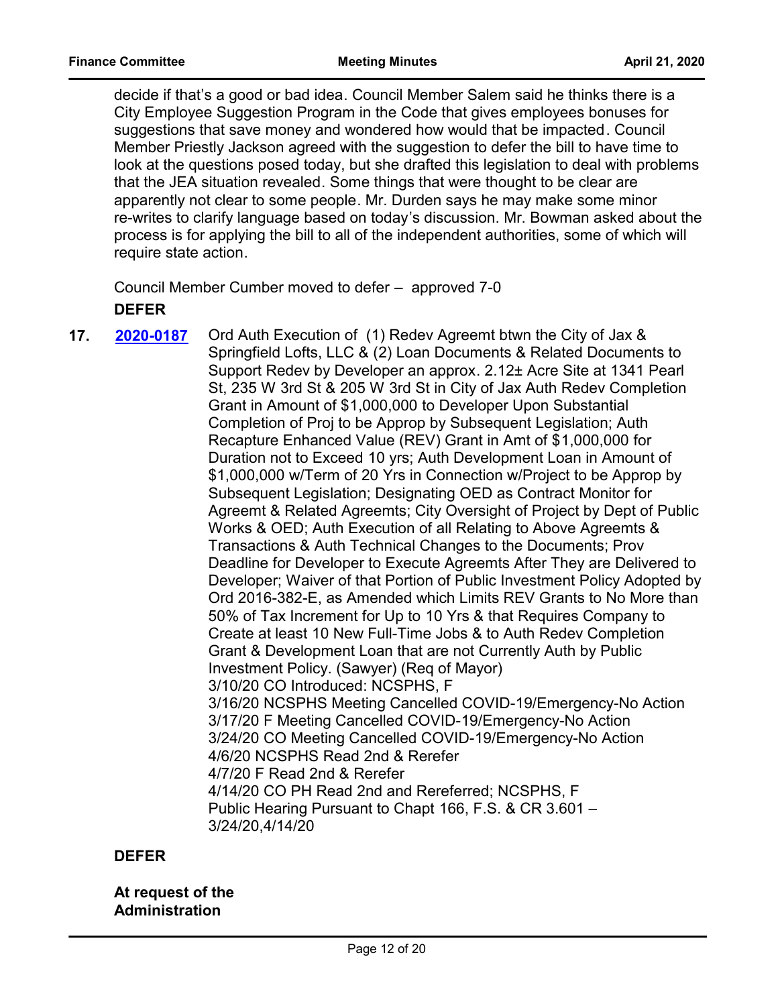decide if that's a good or bad idea. Council Member Salem said he thinks there is a City Employee Suggestion Program in the Code that gives employees bonuses for suggestions that save money and wondered how would that be impacted. Council Member Priestly Jackson agreed with the suggestion to defer the bill to have time to look at the questions posed today, but she drafted this legislation to deal with problems that the JEA situation revealed. Some things that were thought to be clear are apparently not clear to some people. Mr. Durden says he may make some minor re-writes to clarify language based on today's discussion. Mr. Bowman asked about the process is for applying the bill to all of the independent authorities, some of which will require state action.

Council Member Cumber moved to defer – approved 7-0 **DEFER**

**17. 2020-0187** Ord Auth Execution of (1) Redev Agreemt btwn the City of Jax & Springfield Lofts, LLC & (2) Loan Documents & Related Documents to Support Redev by Developer an approx. 2.12± Acre Site at 1341 Pearl St, 235 W 3rd St & 205 W 3rd St in City of Jax Auth Redev Completion Grant in Amount of \$1,000,000 to Developer Upon Substantial Completion of Proj to be Approp by Subsequent Legislation; Auth Recapture Enhanced Value (REV) Grant in Amt of \$1,000,000 for Duration not to Exceed 10 yrs; Auth Development Loan in Amount of \$1,000,000 w/Term of 20 Yrs in Connection w/Project to be Approp by Subsequent Legislation; Designating OED as Contract Monitor for Agreemt & Related Agreemts; City Oversight of Project by Dept of Public Works & OED; Auth Execution of all Relating to Above Agreemts & Transactions & Auth Technical Changes to the Documents; Prov Deadline for Developer to Execute Agreemts After They are Delivered to Developer; Waiver of that Portion of Public Investment Policy Adopted by Ord 2016-382-E, as Amended which Limits REV Grants to No More than 50% of Tax Increment for Up to 10 Yrs & that Requires Company to Create at least 10 New Full-Time Jobs & to Auth Redev Completion Grant & Development Loan that are not Currently Auth by Public Investment Policy. (Sawyer) (Req of Mayor) 3/10/20 CO Introduced: NCSPHS, F 3/16/20 NCSPHS Meeting Cancelled COVID-19/Emergency-No Action 3/17/20 F Meeting Cancelled COVID-19/Emergency-No Action 3/24/20 CO Meeting Cancelled COVID-19/Emergency-No Action 4/6/20 NCSPHS Read 2nd & Rerefer 4/7/20 F Read 2nd & Rerefer 4/14/20 CO PH Read 2nd and Rereferred; NCSPHS, F Public Hearing Pursuant to Chapt 166, F.S. & CR 3.601 – 3/24/20,4/14/20 **[2020-0187](http://jaxcityc.legistar.com/gateway.aspx?m=l&id=/matter.aspx?key=2254)**

**DEFER**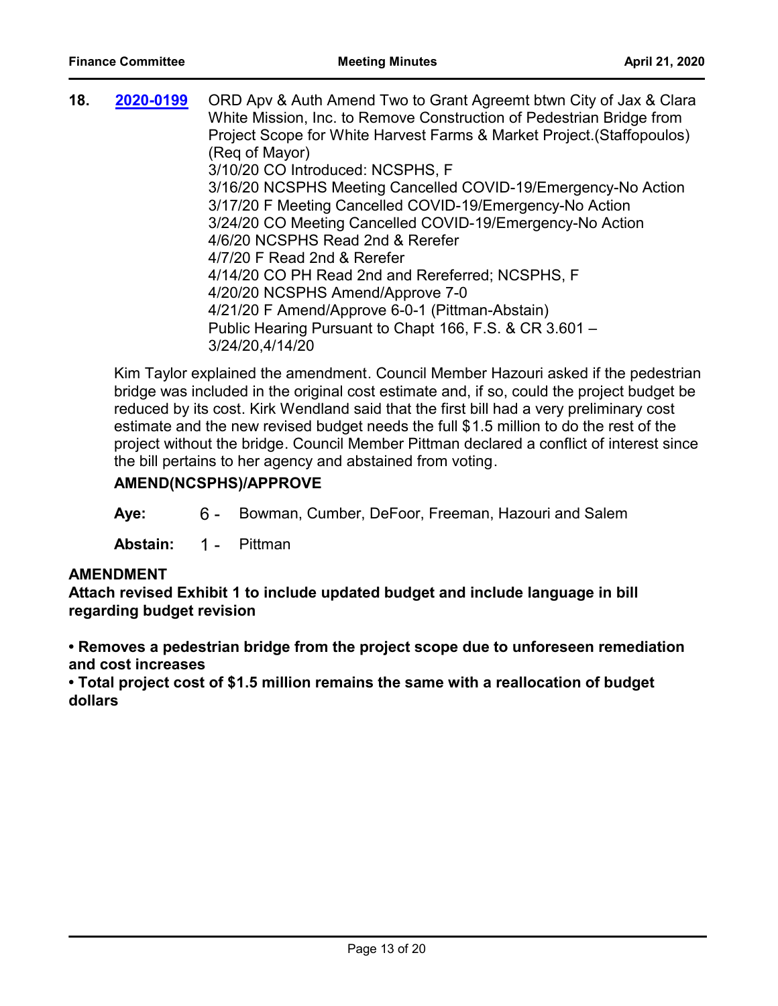| 18. | 2020-0199 | ORD Apv & Auth Amend Two to Grant Agreemt btwn City of Jax & Clara     |
|-----|-----------|------------------------------------------------------------------------|
|     |           | White Mission, Inc. to Remove Construction of Pedestrian Bridge from   |
|     |           | Project Scope for White Harvest Farms & Market Project. (Staffopoulos) |
|     |           | (Reg of Mayor)                                                         |
|     |           | 3/10/20 CO Introduced: NCSPHS, F                                       |
|     |           | 3/16/20 NCSPHS Meeting Cancelled COVID-19/Emergency-No Action          |
|     |           | 3/17/20 F Meeting Cancelled COVID-19/Emergency-No Action               |
|     |           | 3/24/20 CO Meeting Cancelled COVID-19/Emergency-No Action              |
|     |           | 4/6/20 NCSPHS Read 2nd & Rerefer                                       |
|     |           | 4/7/20 F Read 2nd & Rerefer                                            |
|     |           | 4/14/20 CO PH Read 2nd and Rereferred; NCSPHS, F                       |
|     |           | 4/20/20 NCSPHS Amend/Approve 7-0                                       |
|     |           | 4/21/20 F Amend/Approve 6-0-1 (Pittman-Abstain)                        |
|     |           | Public Hearing Pursuant to Chapt 166, F.S. & CR 3.601 -                |
|     |           | 3/24/20,4/14/20                                                        |
|     |           |                                                                        |

Kim Taylor explained the amendment. Council Member Hazouri asked if the pedestrian bridge was included in the original cost estimate and, if so, could the project budget be reduced by its cost. Kirk Wendland said that the first bill had a very preliminary cost estimate and the new revised budget needs the full \$1.5 million to do the rest of the project without the bridge. Council Member Pittman declared a conflict of interest since the bill pertains to her agency and abstained from voting.

#### **AMEND(NCSPHS)/APPROVE**

**Aye:** 6 - Bowman, Cumber, DeFoor, Freeman, Hazouri and Salem

**Abstain:** 1 - Pittman

#### **AMENDMENT**

**Attach revised Exhibit 1 to include updated budget and include language in bill regarding budget revision**

**• Removes a pedestrian bridge from the project scope due to unforeseen remediation and cost increases**

**• Total project cost of \$1.5 million remains the same with a reallocation of budget dollars**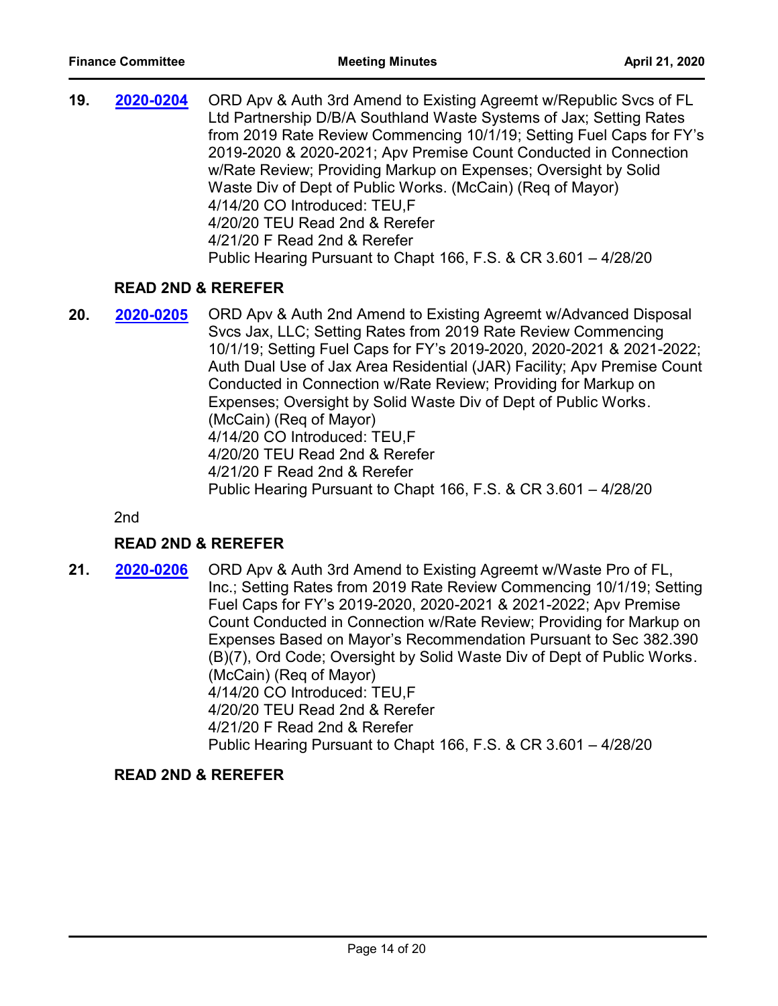**19. 2020-0204** ORD Apv & Auth 3rd Amend to Existing Agreemt w/Republic Svcs of FL Ltd Partnership D/B/A Southland Waste Systems of Jax; Setting Rates from 2019 Rate Review Commencing 10/1/19; Setting Fuel Caps for FY's 2019-2020 & 2020-2021; Apv Premise Count Conducted in Connection w/Rate Review; Providing Markup on Expenses; Oversight by Solid Waste Div of Dept of Public Works. (McCain) (Req of Mayor) 4/14/20 CO Introduced: TEU,F 4/20/20 TEU Read 2nd & Rerefer 4/21/20 F Read 2nd & Rerefer Public Hearing Pursuant to Chapt 166, F.S. & CR 3.601 – 4/28/20 **[2020-0204](http://jaxcityc.legistar.com/gateway.aspx?m=l&id=/matter.aspx?key=2277)**

#### **READ 2ND & REREFER**

**20. 2020-0205** ORD Apv & Auth 2nd Amend to Existing Agreemt w/Advanced Disposal Svcs Jax, LLC; Setting Rates from 2019 Rate Review Commencing 10/1/19; Setting Fuel Caps for FY's 2019-2020, 2020-2021 & 2021-2022; Auth Dual Use of Jax Area Residential (JAR) Facility; Apv Premise Count Conducted in Connection w/Rate Review; Providing for Markup on Expenses; Oversight by Solid Waste Div of Dept of Public Works. (McCain) (Req of Mayor) 4/14/20 CO Introduced: TEU,F 4/20/20 TEU Read 2nd & Rerefer 4/21/20 F Read 2nd & Rerefer Public Hearing Pursuant to Chapt 166, F.S. & CR 3.601 – 4/28/20 **[2020-0205](http://jaxcityc.legistar.com/gateway.aspx?m=l&id=/matter.aspx?key=2278)**

2nd

#### **READ 2ND & REREFER**

**21. 2020-0206** ORD Apv & Auth 3rd Amend to Existing Agreemt w/Waste Pro of FL, Inc.; Setting Rates from 2019 Rate Review Commencing 10/1/19; Setting Fuel Caps for FY's 2019-2020, 2020-2021 & 2021-2022; Apv Premise Count Conducted in Connection w/Rate Review; Providing for Markup on Expenses Based on Mayor's Recommendation Pursuant to Sec 382.390 (B)(7), Ord Code; Oversight by Solid Waste Div of Dept of Public Works. (McCain) (Req of Mayor) 4/14/20 CO Introduced: TEU,F 4/20/20 TEU Read 2nd & Rerefer 4/21/20 F Read 2nd & Rerefer Public Hearing Pursuant to Chapt 166, F.S. & CR 3.601 – 4/28/20 **[2020-0206](http://jaxcityc.legistar.com/gateway.aspx?m=l&id=/matter.aspx?key=2279)**

#### **READ 2ND & REREFER**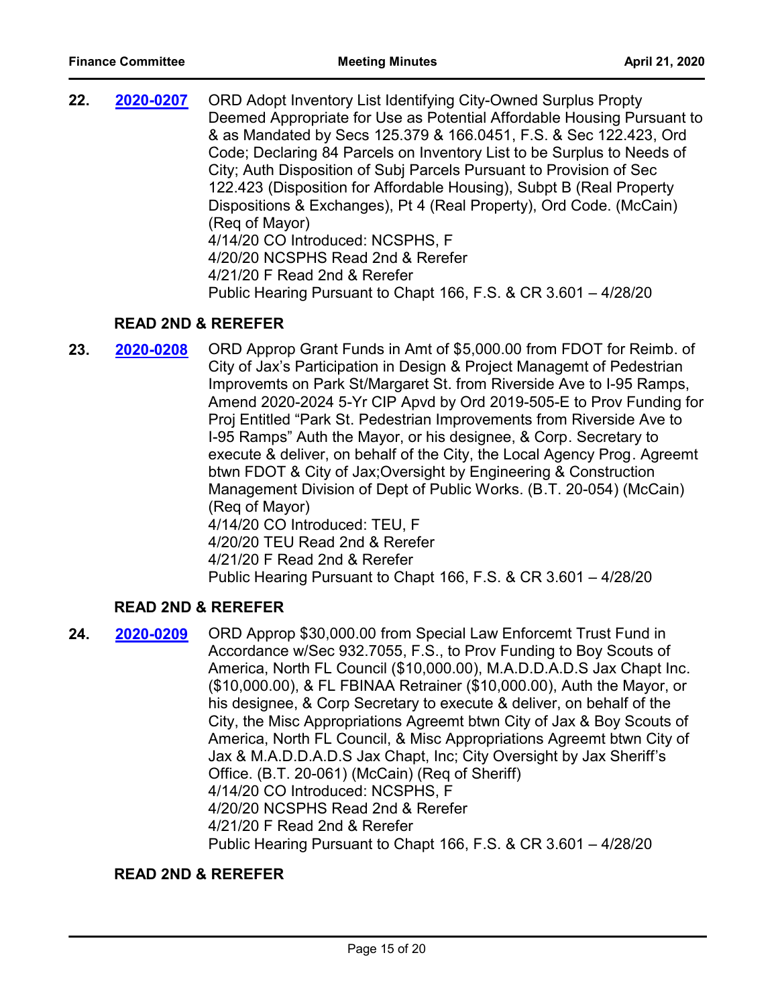**22. 2020-0207** ORD Adopt Inventory List Identifying City-Owned Surplus Propty Deemed Appropriate for Use as Potential Affordable Housing Pursuant to & as Mandated by Secs 125.379 & 166.0451, F.S. & Sec 122.423, Ord Code; Declaring 84 Parcels on Inventory List to be Surplus to Needs of City; Auth Disposition of Subj Parcels Pursuant to Provision of Sec 122.423 (Disposition for Affordable Housing), Subpt B (Real Property Dispositions & Exchanges), Pt 4 (Real Property), Ord Code. (McCain) (Req of Mayor) 4/14/20 CO Introduced: NCSPHS, F 4/20/20 NCSPHS Read 2nd & Rerefer 4/21/20 F Read 2nd & Rerefer Public Hearing Pursuant to Chapt 166, F.S. & CR 3.601 – 4/28/20 **[2020-0207](http://jaxcityc.legistar.com/gateway.aspx?m=l&id=/matter.aspx?key=2280)**

### **READ 2ND & REREFER**

**23. 2020-0208** ORD Approp Grant Funds in Amt of \$5,000.00 from FDOT for Reimb. of City of Jax's Participation in Design & Project Managemt of Pedestrian Improvemts on Park St/Margaret St. from Riverside Ave to I-95 Ramps, Amend 2020-2024 5-Yr CIP Apvd by Ord 2019-505-E to Prov Funding for Proj Entitled "Park St. Pedestrian Improvements from Riverside Ave to I-95 Ramps" Auth the Mayor, or his designee, & Corp. Secretary to execute & deliver, on behalf of the City, the Local Agency Prog. Agreemt btwn FDOT & City of Jax;Oversight by Engineering & Construction Management Division of Dept of Public Works. (B.T. 20-054) (McCain) (Req of Mayor) 4/14/20 CO Introduced: TEU, F 4/20/20 TEU Read 2nd & Rerefer 4/21/20 F Read 2nd & Rerefer Public Hearing Pursuant to Chapt 166, F.S. & CR 3.601 – 4/28/20 **[2020-0208](http://jaxcityc.legistar.com/gateway.aspx?m=l&id=/matter.aspx?key=2281)**

# **READ 2ND & REREFER**

**24. 2020-0209** ORD Approp \$30,000.00 from Special Law Enforcemt Trust Fund in Accordance w/Sec 932.7055, F.S., to Prov Funding to Boy Scouts of America, North FL Council (\$10,000.00), M.A.D.D.A.D.S Jax Chapt Inc. (\$10,000.00), & FL FBINAA Retrainer (\$10,000.00), Auth the Mayor, or his designee, & Corp Secretary to execute & deliver, on behalf of the City, the Misc Appropriations Agreemt btwn City of Jax & Boy Scouts of America, North FL Council, & Misc Appropriations Agreemt btwn City of Jax & M.A.D.D.A.D.S Jax Chapt, Inc; City Oversight by Jax Sheriff's Office. (B.T. 20-061) (McCain) (Req of Sheriff) 4/14/20 CO Introduced: NCSPHS, F 4/20/20 NCSPHS Read 2nd & Rerefer 4/21/20 F Read 2nd & Rerefer Public Hearing Pursuant to Chapt 166, F.S. & CR 3.601 – 4/28/20 **[2020-0209](http://jaxcityc.legistar.com/gateway.aspx?m=l&id=/matter.aspx?key=2282)**

#### **READ 2ND & REREFER**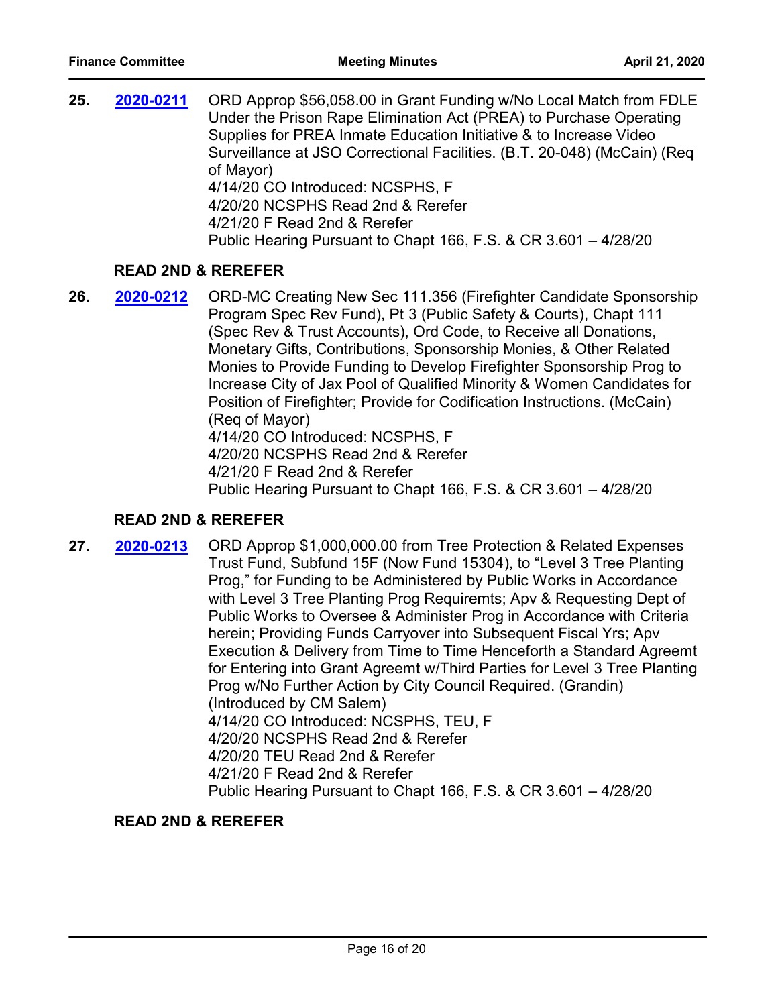| 25. | 2020-0211                     | ORD Approp \$56,058.00 in Grant Funding w/No Local Match from FDLE<br>Under the Prison Rape Elimination Act (PREA) to Purchase Operating<br>Supplies for PREA Inmate Education Initiative & to Increase Video<br>Surveillance at JSO Correctional Facilities. (B.T. 20-048) (McCain) (Req<br>of Mayor)<br>4/14/20 CO Introduced: NCSPHS, F<br>4/20/20 NCSPHS Read 2nd & Rerefer<br>4/21/20 F Read 2nd & Rerefer<br>Public Hearing Pursuant to Chapt 166, F.S. & CR 3.601 - 4/28/20 |
|-----|-------------------------------|------------------------------------------------------------------------------------------------------------------------------------------------------------------------------------------------------------------------------------------------------------------------------------------------------------------------------------------------------------------------------------------------------------------------------------------------------------------------------------|
|     | <b>READ 2ND &amp; REREFER</b> |                                                                                                                                                                                                                                                                                                                                                                                                                                                                                    |

**26. 2020-0212** ORD-MC Creating New Sec 111.356 (Firefighter Candidate Sponsorship Program Spec Rev Fund), Pt 3 (Public Safety & Courts), Chapt 111 (Spec Rev & Trust Accounts), Ord Code, to Receive all Donations, Monetary Gifts, Contributions, Sponsorship Monies, & Other Related Monies to Provide Funding to Develop Firefighter Sponsorship Prog to Increase City of Jax Pool of Qualified Minority & Women Candidates for Position of Firefighter; Provide for Codification Instructions. (McCain) (Req of Mayor) 4/14/20 CO Introduced: NCSPHS, F 4/20/20 NCSPHS Read 2nd & Rerefer 4/21/20 F Read 2nd & Rerefer Public Hearing Pursuant to Chapt 166, F.S. & CR 3.601 – 4/28/20 **[2020-0212](http://jaxcityc.legistar.com/gateway.aspx?m=l&id=/matter.aspx?key=2285)**

#### **READ 2ND & REREFER**

**27. 2020-0213** ORD Approp \$1,000,000.00 from Tree Protection & Related Expenses Trust Fund, Subfund 15F (Now Fund 15304), to "Level 3 Tree Planting Prog," for Funding to be Administered by Public Works in Accordance with Level 3 Tree Planting Prog Requiremts; Apv & Requesting Dept of Public Works to Oversee & Administer Prog in Accordance with Criteria herein; Providing Funds Carryover into Subsequent Fiscal Yrs; Apv Execution & Delivery from Time to Time Henceforth a Standard Agreemt for Entering into Grant Agreemt w/Third Parties for Level 3 Tree Planting Prog w/No Further Action by City Council Required. (Grandin) (Introduced by CM Salem) 4/14/20 CO Introduced: NCSPHS, TEU, F 4/20/20 NCSPHS Read 2nd & Rerefer 4/20/20 TEU Read 2nd & Rerefer 4/21/20 F Read 2nd & Rerefer Public Hearing Pursuant to Chapt 166, F.S. & CR 3.601 – 4/28/20 **[2020-0213](http://jaxcityc.legistar.com/gateway.aspx?m=l&id=/matter.aspx?key=2286)**

#### **READ 2ND & REREFER**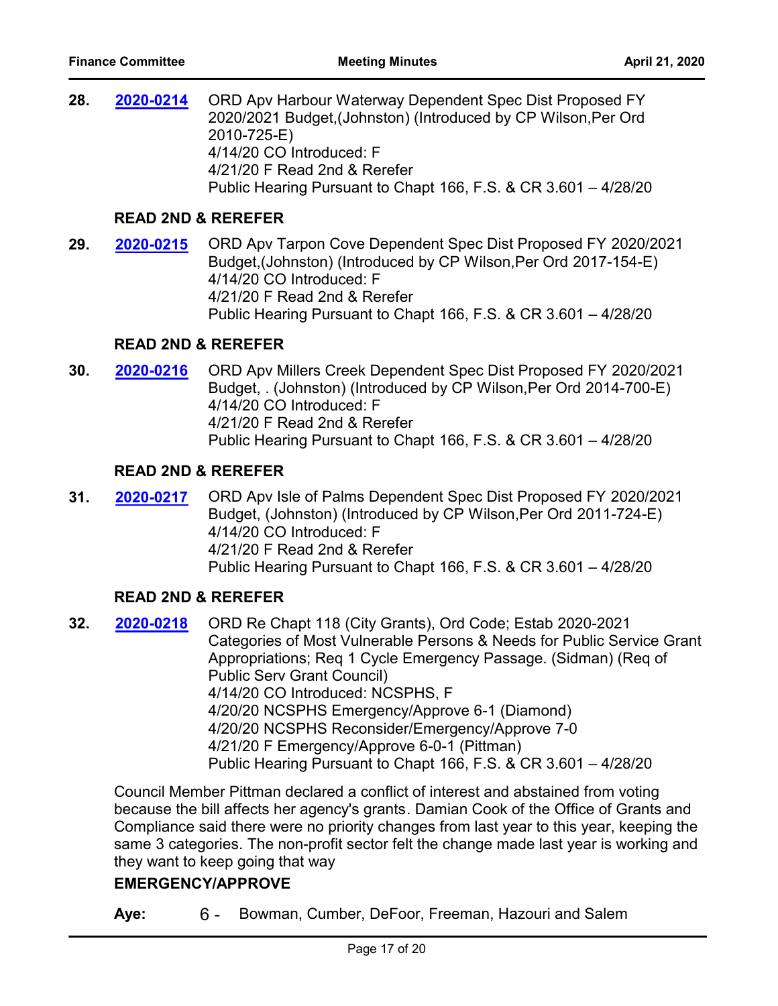28. 2020-0214 ORD Apv Harbour Waterway Dependent Spec Dist Proposed FY 2020/2021 Budget,(Johnston) (Introduced by CP Wilson,Per Ord 2010-725-E) 4/14/20 CO Introduced: F 4/21/20 F Read 2nd & Rerefer Public Hearing Pursuant to Chapt 166, F.S. & CR 3.601 – 4/28/20 **[2020-0214](http://jaxcityc.legistar.com/gateway.aspx?m=l&id=/matter.aspx?key=2287)**

#### **READ 2ND & REREFER**

**29. 2020-0215** ORD Apv Tarpon Cove Dependent Spec Dist Proposed FY 2020/2021 Budget,(Johnston) (Introduced by CP Wilson,Per Ord 2017-154-E) 4/14/20 CO Introduced: F 4/21/20 F Read 2nd & Rerefer Public Hearing Pursuant to Chapt 166, F.S. & CR 3.601 – 4/28/20 **[2020-0215](http://jaxcityc.legistar.com/gateway.aspx?m=l&id=/matter.aspx?key=2288)**

#### **READ 2ND & REREFER**

**30. 2020-0216** ORD Apv Millers Creek Dependent Spec Dist Proposed FY 2020/2021 Budget, . (Johnston) (Introduced by CP Wilson,Per Ord 2014-700-E) 4/14/20 CO Introduced: F 4/21/20 F Read 2nd & Rerefer Public Hearing Pursuant to Chapt 166, F.S. & CR 3.601 – 4/28/20 **[2020-0216](http://jaxcityc.legistar.com/gateway.aspx?m=l&id=/matter.aspx?key=2289)**

### **READ 2ND & REREFER**

**31. 2020-0217** ORD Apv Isle of Palms Dependent Spec Dist Proposed FY 2020/2021 Budget, (Johnston) (Introduced by CP Wilson,Per Ord 2011-724-E) 4/14/20 CO Introduced: F 4/21/20 F Read 2nd & Rerefer Public Hearing Pursuant to Chapt 166, F.S. & CR 3.601 – 4/28/20 **[2020-0217](http://jaxcityc.legistar.com/gateway.aspx?m=l&id=/matter.aspx?key=2290)**

#### **READ 2ND & REREFER**

**32. 2020-0218** ORD Re Chapt 118 (City Grants), Ord Code; Estab 2020-2021 Categories of Most Vulnerable Persons & Needs for Public Service Grant Appropriations; Req 1 Cycle Emergency Passage. (Sidman) (Req of Public Serv Grant Council) 4/14/20 CO Introduced: NCSPHS, F 4/20/20 NCSPHS Emergency/Approve 6-1 (Diamond) 4/20/20 NCSPHS Reconsider/Emergency/Approve 7-0 4/21/20 F Emergency/Approve 6-0-1 (Pittman) Public Hearing Pursuant to Chapt 166, F.S. & CR 3.601 – 4/28/20 **[2020-0218](http://jaxcityc.legistar.com/gateway.aspx?m=l&id=/matter.aspx?key=2291)**

Council Member Pittman declared a conflict of interest and abstained from voting because the bill affects her agency's grants. Damian Cook of the Office of Grants and Compliance said there were no priority changes from last year to this year, keeping the same 3 categories. The non-profit sector felt the change made last year is working and they want to keep going that way

#### **EMERGENCY/APPROVE**

**Aye:** 6 - Bowman, Cumber, DeFoor, Freeman, Hazouri and Salem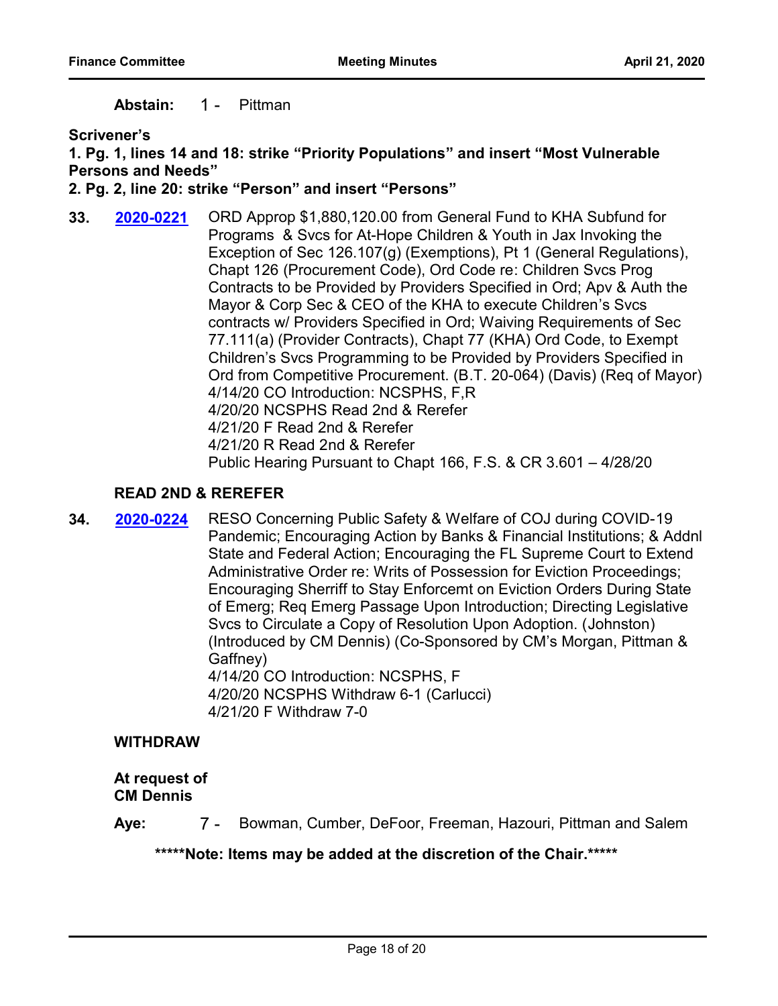**Abstain:** 1 - Pittman

**Scrivener's**

#### **1. Pg. 1, lines 14 and 18: strike "Priority Populations" and insert "Most Vulnerable Persons and Needs"**

#### **2. Pg. 2, line 20: strike "Person" and insert "Persons"**

**33. 2020-0221** ORD Approp \$1,880,120.00 from General Fund to KHA Subfund for Programs & Svcs for At-Hope Children & Youth in Jax Invoking the Exception of Sec 126.107(g) (Exemptions), Pt 1 (General Regulations), Chapt 126 (Procurement Code), Ord Code re: Children Svcs Prog Contracts to be Provided by Providers Specified in Ord; Apv & Auth the Mayor & Corp Sec & CEO of the KHA to execute Children's Svcs contracts w/ Providers Specified in Ord; Waiving Requirements of Sec 77.111(a) (Provider Contracts), Chapt 77 (KHA) Ord Code, to Exempt Children's Svcs Programming to be Provided by Providers Specified in Ord from Competitive Procurement. (B.T. 20-064) (Davis) (Req of Mayor) 4/14/20 CO Introduction: NCSPHS, F,R 4/20/20 NCSPHS Read 2nd & Rerefer 4/21/20 F Read 2nd & Rerefer 4/21/20 R Read 2nd & Rerefer Public Hearing Pursuant to Chapt 166, F.S. & CR 3.601 – 4/28/20 **[2020-0221](http://jaxcityc.legistar.com/gateway.aspx?m=l&id=/matter.aspx?key=2294)**

### **READ 2ND & REREFER**

**34. 2020-0224** RESO Concerning Public Safety & Welfare of COJ during COVID-19 Pandemic; Encouraging Action by Banks & Financial Institutions; & Addnl State and Federal Action; Encouraging the FL Supreme Court to Extend Administrative Order re: Writs of Possession for Eviction Proceedings; Encouraging Sherriff to Stay Enforcemt on Eviction Orders During State of Emerg; Req Emerg Passage Upon Introduction; Directing Legislative Svcs to Circulate a Copy of Resolution Upon Adoption. (Johnston) (Introduced by CM Dennis) (Co-Sponsored by CM's Morgan, Pittman & Gaffney) 4/14/20 CO Introduction: NCSPHS, F 4/20/20 NCSPHS Withdraw 6-1 (Carlucci) 4/21/20 F Withdraw 7-0 **[2020-0224](http://jaxcityc.legistar.com/gateway.aspx?m=l&id=/matter.aspx?key=2297)**

#### **WITHDRAW**

**At request of CM Dennis**

**Aye:** 7 - Bowman, Cumber, DeFoor, Freeman, Hazouri, Pittman and Salem

**\*\*\*\*\*Note: Items may be added at the discretion of the Chair.\*\*\*\*\***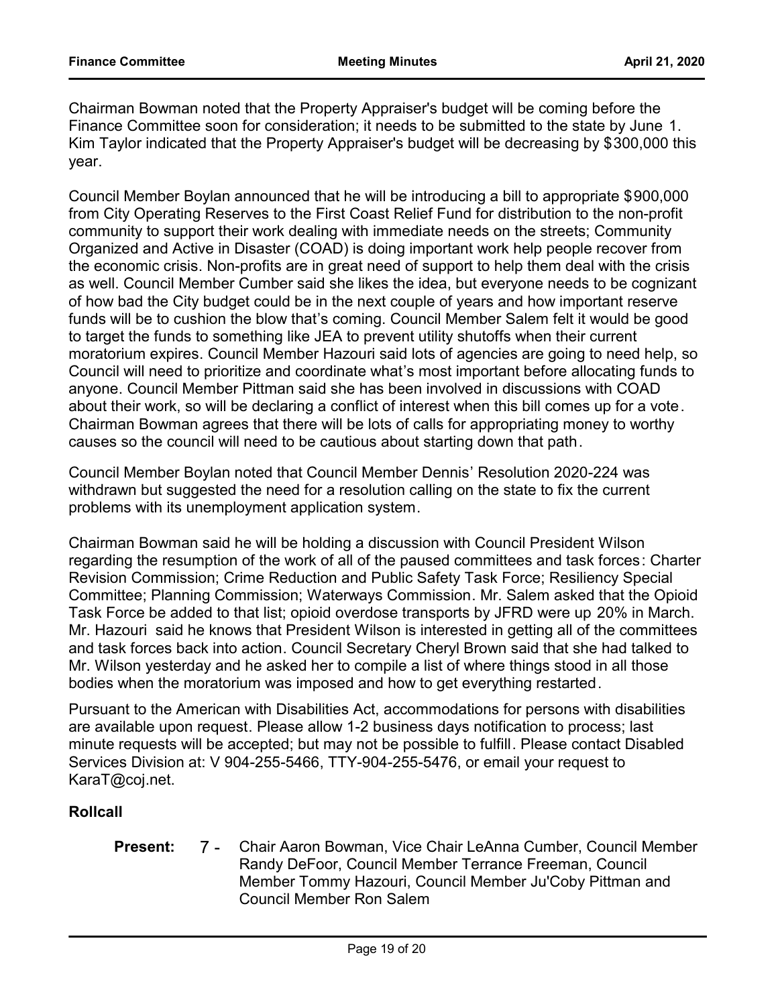Chairman Bowman noted that the Property Appraiser's budget will be coming before the Finance Committee soon for consideration; it needs to be submitted to the state by June 1. Kim Taylor indicated that the Property Appraiser's budget will be decreasing by \$300,000 this year.

Council Member Boylan announced that he will be introducing a bill to appropriate \$900,000 from City Operating Reserves to the First Coast Relief Fund for distribution to the non-profit community to support their work dealing with immediate needs on the streets; Community Organized and Active in Disaster (COAD) is doing important work help people recover from the economic crisis. Non-profits are in great need of support to help them deal with the crisis as well. Council Member Cumber said she likes the idea, but everyone needs to be cognizant of how bad the City budget could be in the next couple of years and how important reserve funds will be to cushion the blow that's coming. Council Member Salem felt it would be good to target the funds to something like JEA to prevent utility shutoffs when their current moratorium expires. Council Member Hazouri said lots of agencies are going to need help, so Council will need to prioritize and coordinate what's most important before allocating funds to anyone. Council Member Pittman said she has been involved in discussions with COAD about their work, so will be declaring a conflict of interest when this bill comes up for a vote. Chairman Bowman agrees that there will be lots of calls for appropriating money to worthy causes so the council will need to be cautious about starting down that path.

Council Member Boylan noted that Council Member Dennis' Resolution 2020-224 was withdrawn but suggested the need for a resolution calling on the state to fix the current problems with its unemployment application system.

Chairman Bowman said he will be holding a discussion with Council President Wilson regarding the resumption of the work of all of the paused committees and task forces: Charter Revision Commission; Crime Reduction and Public Safety Task Force; Resiliency Special Committee; Planning Commission; Waterways Commission. Mr. Salem asked that the Opioid Task Force be added to that list; opioid overdose transports by JFRD were up 20% in March. Mr. Hazouri said he knows that President Wilson is interested in getting all of the committees and task forces back into action. Council Secretary Cheryl Brown said that she had talked to Mr. Wilson yesterday and he asked her to compile a list of where things stood in all those bodies when the moratorium was imposed and how to get everything restarted.

Pursuant to the American with Disabilities Act, accommodations for persons with disabilities are available upon request. Please allow 1-2 business days notification to process; last minute requests will be accepted; but may not be possible to fulfill. Please contact Disabled Services Division at: V 904-255-5466, TTY-904-255-5476, or email your request to KaraT@coj.net.

#### **Rollcall**

7 - Chair Aaron Bowman, Vice Chair LeAnna Cumber, Council Member Randy DeFoor, Council Member Terrance Freeman, Council Member Tommy Hazouri, Council Member Ju'Coby Pittman and Council Member Ron Salem **Present:**